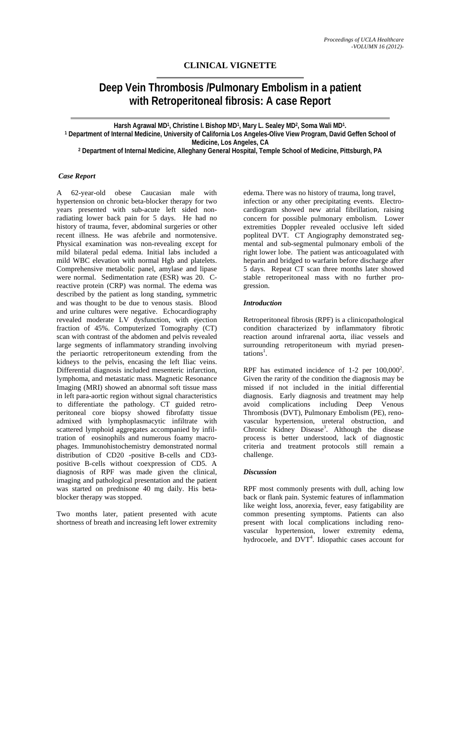# **CLINICAL VIGNETTE**

# **Deep Vein Thrombosis /Pulmonary Embolism in a patient with Retroperitoneal fibrosis: A case Report**

Harsh Agrawal MD<sup>1</sup>, Christine I. Bishop MD<sup>1</sup>, Mary L. Sealey MD<sup>2</sup>, Soma Wali MD<sup>1</sup>.<br>1 Department of Internal Medicine, University of California Los Angeles-Olive View Program, David Geffen School of **Medicine, Los Angeles, CA** 

**2 Department of Internal Medicine, Alleghany General Hospital, Temple School of Medicine, Pittsburgh, PA** 

## *Case Report*

A 62-year-old obese Caucasian male with hypertension on chronic beta-blocker therapy for two years presented with sub-acute left sided nonradiating lower back pain for 5 days. He had no history of trauma, fever, abdominal surgeries or other recent illness. He was afebrile and normotensive. Physical examination was non-revealing except for mild bilateral pedal edema. Initial labs included a mild WBC elevation with normal Hgb and platelets. Comprehensive metabolic panel, amylase and lipase were normal. Sedimentation rate (ESR) was 20. Creactive protein (CRP) was normal. The edema was described by the patient as long standing, symmetric and was thought to be due to venous stasis. Blood and urine cultures were negative. Echocardiography revealed moderate LV dysfunction, with ejection fraction of 45%. Computerized Tomography (CT) scan with contrast of the abdomen and pelvis revealed large segments of inflammatory stranding involving the periaortic retroperitoneum extending from the kidneys to the pelvis, encasing the left Iliac veins. Differential diagnosis included mesenteric infarction, lymphoma, and metastatic mass. Magnetic Resonance Imaging (MRI) showed an abnormal soft tissue mass in left para-aortic region without signal characteristics to differentiate the pathology. CT guided retroperitoneal core biopsy showed fibrofatty tissue admixed with lymphoplasmacytic infiltrate with scattered lymphoid aggregates accompanied by infiltration of eosinophils and numerous foamy macrophages. Immunohistochemistry demonstrated normal distribution of CD20 -positive B-cells and CD3 positive B-cells without coexpression of CD5. A diagnosis of RPF was made given the clinical, imaging and pathological presentation and the patient was started on prednisone 40 mg daily. His betablocker therapy was stopped.

Two months later, patient presented with acute shortness of breath and increasing left lower extremity

edema. There was no history of trauma, long travel, infection or any other precipitating events. Electrocardiogram showed new atrial fibrillation, raising concern for possible pulmonary embolism. Lower extremities Doppler revealed occlusive left sided popliteal DVT. CT Angiography demonstrated segmental and sub-segmental pulmonary emboli of the right lower lobe. The patient was anticoagulated with heparin and bridged to warfarin before discharge after 5 days. Repeat CT scan three months later showed stable retroperitoneal mass with no further progression.

#### *Introduction*

Retroperitoneal fibrosis (RPF) is a clinicopathological condition characterized by inflammatory fibrotic reaction around infrarenal aorta, iliac vessels and surrounding retroperitoneum with myriad presentations<sup>1</sup>.

RPF has estimated incidence of 1-2 per  $100,000^2$ . Given the rarity of the condition the diagnosis may be missed if not included in the initial differential diagnosis. Early diagnosis and treatment may help avoid complications including Deep Venous Thrombosis (DVT), Pulmonary Embolism (PE), renovascular hypertension, ureteral obstruction, and Chronic Kidney Disease<sup>3</sup>. Although the disease process is better understood, lack of diagnostic criteria and treatment protocols still remain a challenge.

#### *Discussion*

RPF most commonly presents with dull, aching low back or flank pain. Systemic features of inflammation like weight loss, anorexia, fever, easy fatigability are common presenting symptoms. Patients can also present with local complications including renovascular hypertension, lower extremity edema, hydrocoele, and DVT<sup>4</sup>. Idiopathic cases account for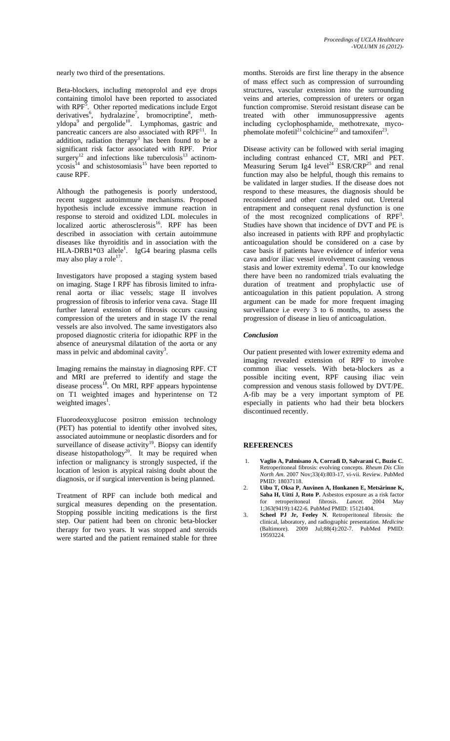nearly two third of the presentations.

Beta-blockers, including metoprolol and eye drops containing timolol have been reported to associated with  $RPF^5$ . Other reported medications include Ergot derivatives<sup>6</sup>, hydralazine<sup>7</sup>, bromocriptine<sup>8</sup>, methyldopa<sup>9</sup> and pergolide<sup>10</sup>. Lymphomas, gastric and pancreatic cancers are also associated with RPF<sup>11</sup>. In addition, radiation therapy<sup>3</sup> has been found to be a significant risk factor associated with RPF. Prior surgery<sup>12</sup> and infections like tuberculosis<sup>13</sup> actinomycosis<sup>14</sup> and schistosomiasis<sup>15</sup> have been reported to cause RPF.

Although the pathogenesis is poorly understood, recent suggest autoimmune mechanisms. Proposed hypothesis include excessive immune reaction in response to steroid and oxidized LDL molecules in localized aortic atherosclerosis<sup>16</sup>. RPF has been described in association with certain autoimmune diseases like thyroiditis and in association with the  $HLA-DRB1*03$  allele<sup>1</sup>. IgG4 bearing plasma cells may also play a role $^{17}$ .

Investigators have proposed a staging system based on imaging. Stage I RPF has fibrosis limited to infrarenal aorta or iliac vessels; stage II involves progression of fibrosis to inferior vena cava. Stage III further lateral extension of fibrosis occurs causing compression of the ureters and in stage IV the renal vessels are also involved. The same investigators also proposed diagnostic criteria for idiopathic RPF in the absence of aneurysmal dilatation of the aorta or any mass in pelvic and abdominal cavity<sup>3</sup>.

Imaging remains the mainstay in diagnosing RPF. CT and MRI are preferred to identify and stage the disease process<sup>18</sup>. On MRI, RPF appears hypointense on T1 weighted images and hyperintense on T2 weighted images<sup>1</sup>.

Fluorodeoxyglucose positron emission technology (PET) has potential to identify other involved sites, associated autoimmune or neoplastic disorders and for surveillance of disease activity<sup>19</sup>. Biopsy can identify disease histopathology<sup>20</sup>. It may be required when infection or malignancy is strongly suspected, if the location of lesion is atypical raising doubt about the diagnosis, or if surgical intervention is being planned.

Treatment of RPF can include both medical and surgical measures depending on the presentation. Stopping possible inciting medications is the first step. Our patient had been on chronic beta-blocker therapy for two years. It was stopped and steroids were started and the patient remained stable for three months. Steroids are first line therapy in the absence of mass effect such as compression of surrounding structures, vascular extension into the surrounding veins and arteries, compression of ureters or organ function compromise. Steroid resistant disease can be treated with other immunosuppressive agents including cyclophosphamide, methotrexate, mycophemolate mofetil<sup>21</sup> colchicine<sup>22</sup> and tamoxifen<sup>23</sup>.

Disease activity can be followed with serial imaging including contrast enhanced CT, MRI and PET. Measuring Serum Ig4 level<sup>24</sup> ESR/CRP<sup>25</sup> and renal function may also be helpful, though this remains to be validated in larger studies. If the disease does not respond to these measures, the diagnosis should be reconsidered and other causes ruled out. Ureteral entrapment and consequent renal dysfunction is one of the most recognized complications of RPF<sup>3</sup>. Studies have shown that incidence of DVT and PE is also increased in patients with RPF and prophylactic anticoagulation should be considered on a case by case basis if patients have evidence of inferior vena cava and/or iliac vessel involvement causing venous stasis and lower extremity edema<sup>3</sup>. To our knowledge there have been no randomized trials evaluating the duration of treatment and prophylactic use of anticoagulation in this patient population. A strong argument can be made for more frequent imaging surveillance i.e every 3 to 6 months, to assess the progression of disease in lieu of anticoagulation.

## *Conclusion*

Our patient presented with lower extremity edema and imaging revealed extension of RPF to involve common iliac vessels. With beta-blockers as a possible inciting event, RPF causing iliac vein compression and venous stasis followed by DVT/PE. A-fib may be a very important symptom of PE especially in patients who had their beta blockers discontinued recently.

#### **REFERENCES**

- 1. **Vaglio A, Palmisano A, Corradi D, Salvarani C, Buzio C**. Retroperitoneal fibrosis: evolving concepts. *Rheum Dis Clin North Am*. 2007 Nov;33(4):803-17, vi-vii. Review. PubMed PMID: 18037118.
- 2. **Uibu T, Oksa P, Auvinen A, Honkanen E, Metsärinne K, Saha H, Uitti J, Roto P.** Asbestos exposure as a risk factor for retroperitoneal fibrosis. *Lancet*. 2004 May 1;363(9419):1422-6. PubMed PMID: 15121404.
- 3. **Scheel PJ Jr, Feeley N**. Retroperitoneal fibrosis: the clinical, laboratory, and radiographic presentation. *Medicine* (Baltimore). 2009 Jul;88(4):202-7. PubMed PMID: 19593224.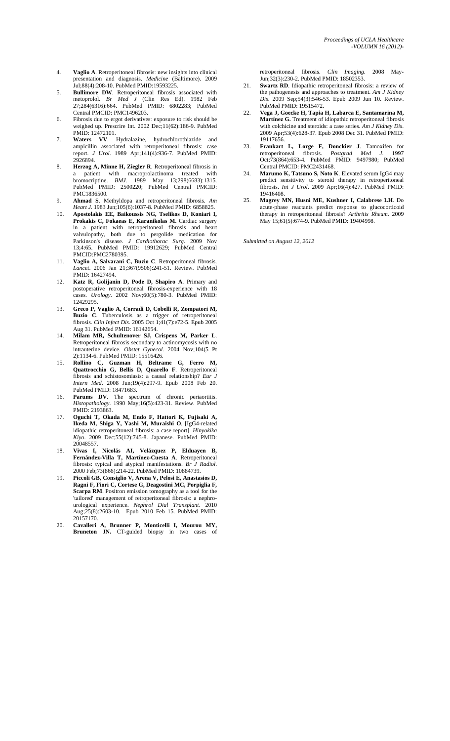- 4. **Vaglio A**. Retroperitoneal fibrosis: new insights into clinical presentation and diagnosis. *Medicine* (Baltimore). 2009 Jul;88(4):208-10. PubMed PMID:19593225.
- 5. **Bullimore DW**. Retroperitoneal fibrosis associated with metoprolol. *Br Med J* (Clin Res Ed). 1982 Feb 27;284(6316):664. PubMed PMID: 6802283; PubMed Central PMCID: PMC1496203.
- 6. Fibrosis due to ergot derivatives: exposure to risk should be weighed up. Prescrire Int. 2002 Dec;11(62):186-9. PubMed PMID: 12472101.
- 7. **Waters VV**. Hydralazine, hydrochlorothiazide and ampicillin associated with retroperitoneal fibrosis: case report. *J Urol*. 1989 Apr;141(4):936-7. PubMed PMID: 2926894.
- 8. **Herzog A, Minne H, Ziegler R**. Retroperitoneal fibrosis in a patient with macroprolactinoma treated with bromocriptine. *BMJ*. 1989 May 13;298(6683):1315. PubMed PMID: 2500220; PubMed Central PMCID: PMC1836500.
- 9. **Ahmad S**. Methyldopa and retroperitoneal fibrosis. *Am Heart J*. 1983 Jun;105(6):1037-8. PubMed PMID: 6858825.
- 10. **Apostolakis EE, Baikoussis NG, Tselikos D, Koniari I, Prokakis C, Fokaeas E, Karanikolas M.** Cardiac surgery in a patient with retroperitoneal fibrosis and heart valvulopathy, both due to pergolide medication for Parkinson's disease. *J Cardiothorac Surg*. 2009 Nov 13;4:65. PubMed PMID: 19912629; PubMed Central PMCID:PMC2780395.
- 11. **Vaglio A, Salvarani C, Buzio C**. Retroperitoneal fibrosis. *Lancet*. 2006 Jan 21;367(9506):241-51. Review. PubMed PMID: 16427494.
- 12. **Katz R, Golijanin D, Pode D, Shapiro A**. Primary and postoperative retroperitoneal fibrosis-experience with 18 cases. *Urology*. 2002 Nov;60(5):780-3. PubMed PMID: 12429295.
- 13. **Greco P, Vaglio A, Corradi D, Cobelli R, Zompatori M, Buzio C**. Tuberculosis as a trigger of retroperitoneal fibrosis. *Clin Infect Dis*. 2005 Oct 1;41(7):e72-5. Epub 2005 Aug 31. PubMed PMID: 16142654.
- 14. **Milam MR, Schultenover SJ, Crispens M, Parker L**. Retroperitoneal fibrosis secondary to actinomycosis with no intrauterine device. *Obstet Gynecol*. 2004 Nov;104(5 Pt 2):1134-6. PubMed PMID: 15516426.
- 15. **Rollino C, Guzman H, Beltrame G, Ferro M, Quattrocchio G, Bellis D, Quarello F**. Retroperitoneal fibrosis and schistosomiasis: a causal relationship? *Eur J Intern Med*. 2008 Jun;19(4):297-9. Epub 2008 Feb 20. PubMed PMID: 18471683.
- 16. **Parums DV**. The spectrum of chronic periaortitis. *Histopathology*. 1990 May;16(5):423-31. Review. PubMed PMID: 2193863.
- 17. **Oguchi T, Okada M, Endo F, Hattori K, Fujisaki A, Ikeda M, Shiga Y, Yashi M, Muraishi O**. [IgG4-related idiopathic retroperitoneal fibrosis: a case report]. *Hinyokika Kiyo*. 2009 Dec;55(12):745-8. Japanese. PubMed PMID: 20048557.
- 18. **Vivas I, Nicolás AI, Velázquez P, Elduayen B, Fernández-Villa T, Martínez-Cuesta A**. Retroperitoneal fibrosis: typical and atypical manifestations. *Br J Radiol*. 2000 Feb;73(866):214-22. PubMed PMID: 10884739.
- 19. **Piccoli GB, Consiglio V, Arena V, Pelosi E, Anastasios D, Ragni F, Fiori C, Cortese G, Deagostini MC, Porpiglia F, Scarpa RM**. Positron emission tomography as a tool for the 'tailored' management of retroperitoneal fibrosis: a nephrourological experience. *Nephrol Dial Transplant*. 2010 Aug;25(8):2603-10. Epub 2010 Feb 15. PubMed PMID: 20157170.
- 20. **Cavalleri A, Brunner P, Monticelli I, Mourou MY, Bruneton JN.** CT-guided biopsy in two cases of

retroperitoneal fibrosis. *Clin Imaging*. 2008 May-Jun;32(3):230-2. PubMed PMID: 18502353.

- 21. **Swartz RD**. Idiopathic retroperitoneal fibrosis: a review of the pathogenesis and approaches to treatment. *Am J Kidney Dis*. 2009 Sep;54(3):546-53. Epub 2009 Jun 10. Review. PubMed PMID: 19515472.
- 22. **Vega J, Goecke H, Tapia H, Labarca E, Santamarina M, Martínez G.** Treatment of idiopathic retroperitoneal fibrosis with colchicine and steroids: a case series. *Am J Kidney Dis*. 2009 Apr;53(4):628-37. Epub 2008 Dec 31. PubMed PMID: 19117656.
- 23. **Frankart L, Lorge F, Donckier J**. Tamoxifen for retroperitoneal fibrosis. *Postgrad Med J*. 1997 Oct;73(864):653-4. PubMed PMID: 9497980; PubMed Central PMCID: PMC2431468.
- 24. **Marumo K, Tatsuno S, Noto K**. Elevated serum IgG4 may predict sensitivity to steroid therapy in retroperitoneal fibrosis. *Int J Urol*. 2009 Apr;16(4):427. PubMed PMID: 19416408.
- 25. **Magrey MN, Husni ME, Kushner I, Calabrese LH**. Do acute-phase reactants predict response to glucocorticoid therapy in retroperitoneal fibrosis? *Arthritis Rheum*. 2009 May 15;61(5):674-9. PubMed PMID: 19404998.

*Submitted on August 12, 2012*